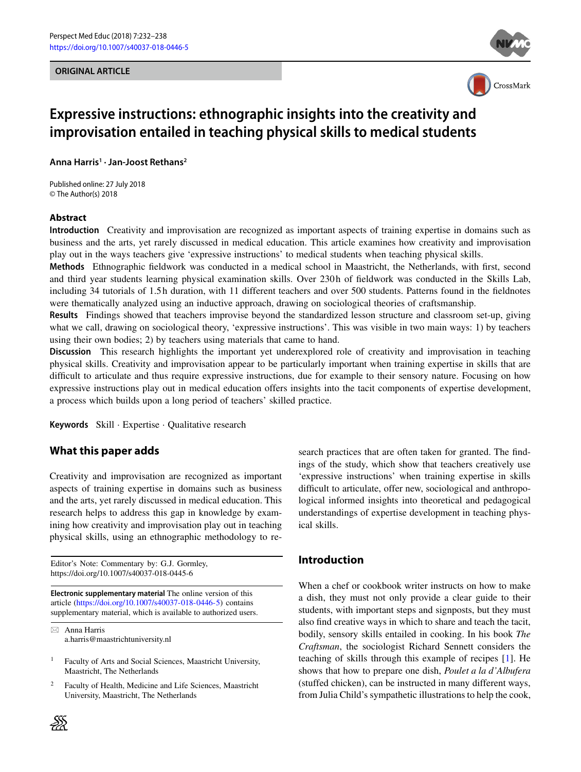#### **ORIGINAL ARTICLE**





# **Expressive instructions: ethnographic insights into the creativity and improvisation entailed in teaching physical skills to medical students**

**Anna Harris1 · Jan-Joost Rethans2**

Published online: 27 July 2018 © The Author(s) 2018

## **Abstract**

**Introduction** Creativity and improvisation are recognized as important aspects of training expertise in domains such as business and the arts, yet rarely discussed in medical education. This article examines how creativity and improvisation play out in the ways teachers give 'expressive instructions' to medical students when teaching physical skills.

**Methods** Ethnographic fieldwork was conducted in a medical school in Maastricht, the Netherlands, with first, second and third year students learning physical examination skills. Over 230h of fieldwork was conducted in the Skills Lab, including 34 tutorials of 1.5 h duration, with 11 different teachers and over 500 students. Patterns found in the fieldnotes were thematically analyzed using an inductive approach, drawing on sociological theories of craftsmanship.

**Results** Findings showed that teachers improvise beyond the standardized lesson structure and classroom set-up, giving what we call, drawing on sociological theory, 'expressive instructions'. This was visible in two main ways: 1) by teachers using their own bodies; 2) by teachers using materials that came to hand.

**Discussion** This research highlights the important yet underexplored role of creativity and improvisation in teaching physical skills. Creativity and improvisation appear to be particularly important when training expertise in skills that are difficult to articulate and thus require expressive instructions, due for example to their sensory nature. Focusing on how expressive instructions play out in medical education offers insights into the tacit components of expertise development, a process which builds upon a long period of teachers' skilled practice.

**Keywords** Skill · Expertise · Qualitative research

## **What this paper adds**

Creativity and improvisation are recognized as important aspects of training expertise in domains such as business and the arts, yet rarely discussed in medical education. This research helps to address this gap in knowledge by examining how creativity and improvisation play out in teaching physical skills, using an ethnographic methodology to re-

Editor's Note: Commentary by: G.J. Gormley, https://doi.org/10.1007/s40037-018-0445-6

**Electronic supplementary material** The online version of this article [\(https://doi.org/10.1007/s40037-018-0446-5\)](https://doi.org/10.1007/s40037-018-0446-5) contains supplementary material, which is available to authorized users.

- Anna Harris a.harris@maastrichtuniversity.nl

<sup>1</sup> Faculty of Arts and Social Sciences, Maastricht University, Maastricht, The Netherlands

<sup>2</sup> Faculty of Health, Medicine and Life Sciences, Maastricht University, Maastricht, The Netherlands

⋙

search practices that are often taken for granted. The findings of the study, which show that teachers creatively use 'expressive instructions' when training expertise in skills difficult to articulate, offer new, sociological and anthropological informed insights into theoretical and pedagogical understandings of expertise development in teaching physical skills.

## **Introduction**

When a chef or cookbook writer instructs on how to make a dish, they must not only provide a clear guide to their students, with important steps and signposts, but they must also find creative ways in which to share and teach the tacit, bodily, sensory skills entailed in cooking. In his book *The Craftsman*, the sociologist Richard Sennett considers the teaching of skills through this example of recipes [\[1\]](#page-5-0). He shows that how to prepare one dish, *Poulet a la d'Albufera* (stuffed chicken), can be instructed in many different ways, from Julia Child's sympathetic illustrations to help the cook,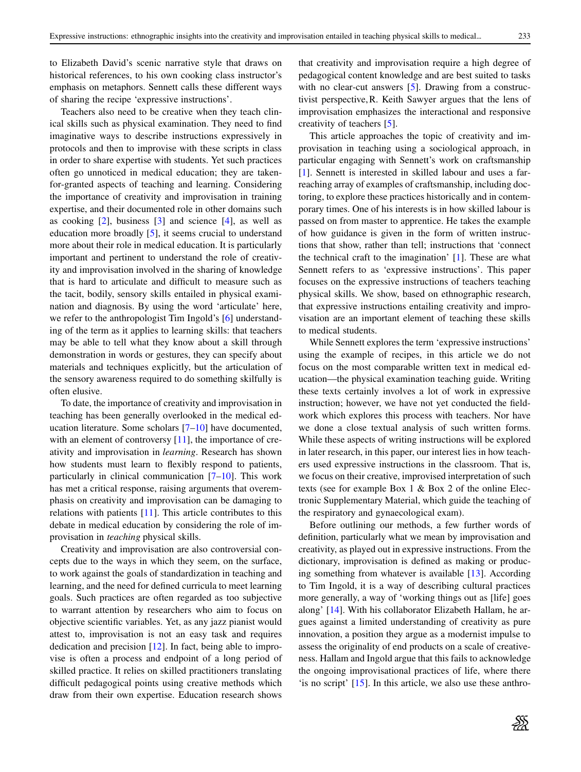to Elizabeth David's scenic narrative style that draws on historical references, to his own cooking class instructor's emphasis on metaphors. Sennett calls these different ways of sharing the recipe 'expressive instructions'.

Teachers also need to be creative when they teach clinical skills such as physical examination. They need to find imaginative ways to describe instructions expressively in protocols and then to improvise with these scripts in class in order to share expertise with students. Yet such practices often go unnoticed in medical education; they are takenfor-granted aspects of teaching and learning. Considering the importance of creativity and improvisation in training expertise, and their documented role in other domains such as cooking  $[2]$ , business  $[3]$  and science  $[4]$ , as well as education more broadly [\[5\]](#page-6-0), it seems crucial to understand more about their role in medical education. It is particularly important and pertinent to understand the role of creativity and improvisation involved in the sharing of knowledge that is hard to articulate and difficult to measure such as the tacit, bodily, sensory skills entailed in physical examination and diagnosis. By using the word 'articulate' here, we refer to the anthropologist Tim Ingold's [\[6\]](#page-6-1) understanding of the term as it applies to learning skills: that teachers may be able to tell what they know about a skill through demonstration in words or gestures, they can specify about materials and techniques explicitly, but the articulation of the sensory awareness required to do something skilfully is often elusive.

To date, the importance of creativity and improvisation in teaching has been generally overlooked in the medical education literature. Some scholars [\[7](#page-6-2)[–10\]](#page-6-3) have documented, with an element of controversy [\[11\]](#page-6-4), the importance of creativity and improvisation in *learning*. Research has shown how students must learn to flexibly respond to patients, particularly in clinical communication [\[7–](#page-6-2)[10\]](#page-6-3). This work has met a critical response, raising arguments that overemphasis on creativity and improvisation can be damaging to relations with patients [\[11\]](#page-6-4). This article contributes to this debate in medical education by considering the role of improvisation in *teaching* physical skills.

Creativity and improvisation are also controversial concepts due to the ways in which they seem, on the surface, to work against the goals of standardization in teaching and learning, and the need for defined curricula to meet learning goals. Such practices are often regarded as too subjective to warrant attention by researchers who aim to focus on objective scientific variables. Yet, as any jazz pianist would attest to, improvisation is not an easy task and requires dedication and precision  $[12]$ . In fact, being able to improvise is often a process and endpoint of a long period of skilled practice. It relies on skilled practitioners translating difficult pedagogical points using creative methods which draw from their own expertise. Education research shows that creativity and improvisation require a high degree of pedagogical content knowledge and are best suited to tasks with no clear-cut answers [\[5\]](#page-6-0). Drawing from a constructivist perspective,R. Keith Sawyer argues that the lens of improvisation emphasizes the interactional and responsive creativity of teachers [\[5\]](#page-6-0).

This article approaches the topic of creativity and improvisation in teaching using a sociological approach, in particular engaging with Sennett's work on craftsmanship [\[1\]](#page-5-0). Sennett is interested in skilled labour and uses a farreaching array of examples of craftsmanship, including doctoring, to explore these practices historically and in contemporary times. One of his interests is in how skilled labour is passed on from master to apprentice. He takes the example of how guidance is given in the form of written instructions that show, rather than tell; instructions that 'connect the technical craft to the imagination' [\[1\]](#page-5-0). These are what Sennett refers to as 'expressive instructions'. This paper focuses on the expressive instructions of teachers teaching physical skills. We show, based on ethnographic research, that expressive instructions entailing creativity and improvisation are an important element of teaching these skills to medical students.

While Sennett explores the term 'expressive instructions' using the example of recipes, in this article we do not focus on the most comparable written text in medical education—the physical examination teaching guide. Writing these texts certainly involves a lot of work in expressive instruction; however, we have not yet conducted the fieldwork which explores this process with teachers. Nor have we done a close textual analysis of such written forms. While these aspects of writing instructions will be explored in later research, in this paper, our interest lies in how teachers used expressive instructions in the classroom. That is, we focus on their creative, improvised interpretation of such texts (see for example Box 1 & Box 2 of the online Electronic Supplementary Material, which guide the teaching of the respiratory and gynaecological exam).

Before outlining our methods, a few further words of definition, particularly what we mean by improvisation and creativity, as played out in expressive instructions. From the dictionary, improvisation is defined as making or producing something from whatever is available [\[13\]](#page-6-6). According to Tim Ingold, it is a way of describing cultural practices more generally, a way of 'working things out as [life] goes along' [\[14\]](#page-6-7). With his collaborator Elizabeth Hallam, he argues against a limited understanding of creativity as pure innovation, a position they argue as a modernist impulse to assess the originality of end products on a scale of creativeness. Hallam and Ingold argue that this fails to acknowledge the ongoing improvisational practices of life, where there 'is no script' [\[15\]](#page-6-8). In this article, we also use these anthro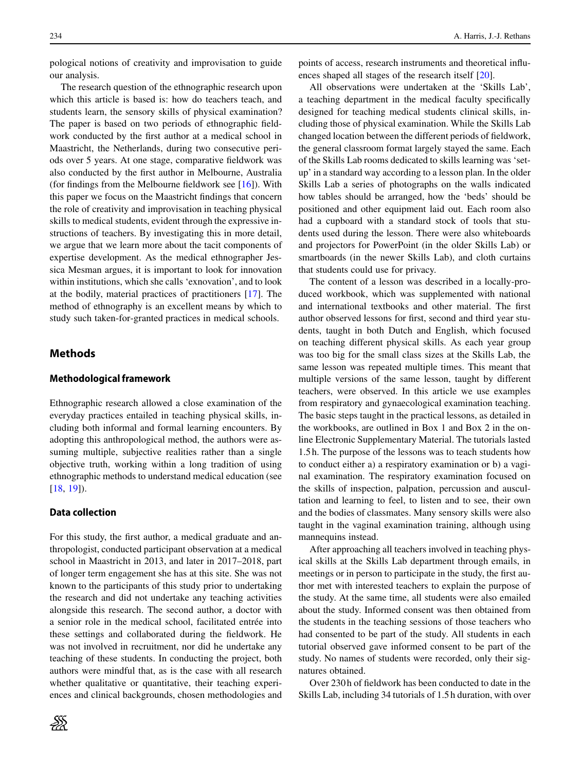pological notions of creativity and improvisation to guide our analysis.

The research question of the ethnographic research upon which this article is based is: how do teachers teach, and students learn, the sensory skills of physical examination? The paper is based on two periods of ethnographic fieldwork conducted by the first author at a medical school in Maastricht, the Netherlands, during two consecutive periods over 5 years. At one stage, comparative fieldwork was also conducted by the first author in Melbourne, Australia (for findings from the Melbourne fieldwork see [\[16\]](#page-6-9)). With this paper we focus on the Maastricht findings that concern the role of creativity and improvisation in teaching physical skills to medical students, evident through the expressive instructions of teachers. By investigating this in more detail, we argue that we learn more about the tacit components of expertise development. As the medical ethnographer Jessica Mesman argues, it is important to look for innovation within institutions, which she calls 'exnovation', and to look at the bodily, material practices of practitioners [\[17\]](#page-6-10). The method of ethnography is an excellent means by which to study such taken-for-granted practices in medical schools.

## **Methods**

#### **Methodological framework**

Ethnographic research allowed a close examination of the everyday practices entailed in teaching physical skills, including both informal and formal learning encounters. By adopting this anthropological method, the authors were assuming multiple, subjective realities rather than a single objective truth, working within a long tradition of using ethnographic methods to understand medical education (see [\[18,](#page-6-11) [19\]](#page-6-12)).

#### **Data collection**

For this study, the first author, a medical graduate and anthropologist, conducted participant observation at a medical school in Maastricht in 2013, and later in 2017–2018, part of longer term engagement she has at this site. She was not known to the participants of this study prior to undertaking the research and did not undertake any teaching activities alongside this research. The second author, a doctor with a senior role in the medical school, facilitated entrée into these settings and collaborated during the fieldwork. He was not involved in recruitment, nor did he undertake any teaching of these students. In conducting the project, both authors were mindful that, as is the case with all research whether qualitative or quantitative, their teaching experiences and clinical backgrounds, chosen methodologies and points of access, research instruments and theoretical influences shaped all stages of the research itself [\[20\]](#page-6-13).

All observations were undertaken at the 'Skills Lab', a teaching department in the medical faculty specifically designed for teaching medical students clinical skills, including those of physical examination. While the Skills Lab changed location between the different periods of fieldwork, the general classroom format largely stayed the same. Each of the Skills Lab rooms dedicated to skills learning was 'setup' in a standard way according to a lesson plan. In the older Skills Lab a series of photographs on the walls indicated how tables should be arranged, how the 'beds' should be positioned and other equipment laid out. Each room also had a cupboard with a standard stock of tools that students used during the lesson. There were also whiteboards and projectors for PowerPoint (in the older Skills Lab) or smartboards (in the newer Skills Lab), and cloth curtains that students could use for privacy.

The content of a lesson was described in a locally-produced workbook, which was supplemented with national and international textbooks and other material. The first author observed lessons for first, second and third year students, taught in both Dutch and English, which focused on teaching different physical skills. As each year group was too big for the small class sizes at the Skills Lab, the same lesson was repeated multiple times. This meant that multiple versions of the same lesson, taught by different teachers, were observed. In this article we use examples from respiratory and gynaecological examination teaching. The basic steps taught in the practical lessons, as detailed in the workbooks, are outlined in Box 1 and Box 2 in the online Electronic Supplementary Material. The tutorials lasted 1.5 h. The purpose of the lessons was to teach students how to conduct either a) a respiratory examination or b) a vaginal examination. The respiratory examination focused on the skills of inspection, palpation, percussion and auscultation and learning to feel, to listen and to see, their own and the bodies of classmates. Many sensory skills were also taught in the vaginal examination training, although using mannequins instead.

After approaching all teachers involved in teaching physical skills at the Skills Lab department through emails, in meetings or in person to participate in the study, the first author met with interested teachers to explain the purpose of the study. At the same time, all students were also emailed about the study. Informed consent was then obtained from the students in the teaching sessions of those teachers who had consented to be part of the study. All students in each tutorial observed gave informed consent to be part of the study. No names of students were recorded, only their signatures obtained.

Over 230 h of fieldwork has been conducted to date in the Skills Lab, including 34 tutorials of 1.5 h duration, with over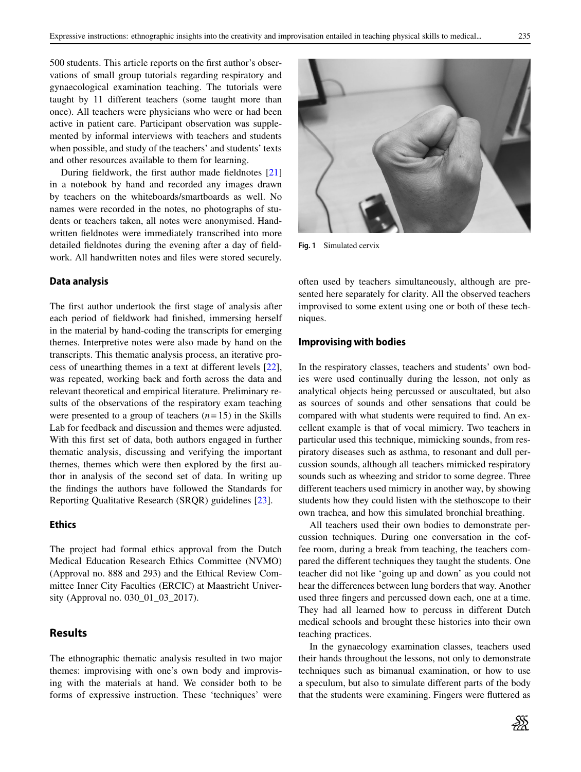500 students. This article reports on the first author's observations of small group tutorials regarding respiratory and gynaecological examination teaching. The tutorials were taught by 11 different teachers (some taught more than once). All teachers were physicians who were or had been active in patient care. Participant observation was supplemented by informal interviews with teachers and students when possible, and study of the teachers' and students' texts and other resources available to them for learning.

During fieldwork, the first author made fieldnotes [\[21\]](#page-6-14) in a notebook by hand and recorded any images drawn by teachers on the whiteboards/smartboards as well. No names were recorded in the notes, no photographs of students or teachers taken, all notes were anonymised. Handwritten fieldnotes were immediately transcribed into more detailed fieldnotes during the evening after a day of fieldwork. All handwritten notes and files were stored securely.

#### **Data analysis**

The first author undertook the first stage of analysis after each period of fieldwork had finished, immersing herself in the material by hand-coding the transcripts for emerging themes. Interpretive notes were also made by hand on the transcripts. This thematic analysis process, an iterative process of unearthing themes in a text at different levels [\[22\]](#page-6-15), was repeated, working back and forth across the data and relevant theoretical and empirical literature. Preliminary results of the observations of the respiratory exam teaching were presented to a group of teachers  $(n=15)$  in the Skills Lab for feedback and discussion and themes were adjusted. With this first set of data, both authors engaged in further thematic analysis, discussing and verifying the important themes, themes which were then explored by the first author in analysis of the second set of data. In writing up the findings the authors have followed the Standards for Reporting Qualitative Research (SRQR) guidelines [\[23\]](#page-6-16).

#### **Ethics**

The project had formal ethics approval from the Dutch Medical Education Research Ethics Committee (NVMO) (Approval no. 888 and 293) and the Ethical Review Committee Inner City Faculties (ERCIC) at Maastricht University (Approval no. 030\_01\_03\_2017).

## **Results**

The ethnographic thematic analysis resulted in two major themes: improvising with one's own body and improvising with the materials at hand. We consider both to be forms of expressive instruction. These 'techniques' were



**Fig. 1** Simulated cervix

<span id="page-3-0"></span>often used by teachers simultaneously, although are presented here separately for clarity. All the observed teachers improvised to some extent using one or both of these techniques.

#### **Improvising with bodies**

In the respiratory classes, teachers and students' own bodies were used continually during the lesson, not only as analytical objects being percussed or auscultated, but also as sources of sounds and other sensations that could be compared with what students were required to find. An excellent example is that of vocal mimicry. Two teachers in particular used this technique, mimicking sounds, from respiratory diseases such as asthma, to resonant and dull percussion sounds, although all teachers mimicked respiratory sounds such as wheezing and stridor to some degree. Three different teachers used mimicry in another way, by showing students how they could listen with the stethoscope to their own trachea, and how this simulated bronchial breathing.

All teachers used their own bodies to demonstrate percussion techniques. During one conversation in the coffee room, during a break from teaching, the teachers compared the different techniques they taught the students. One teacher did not like 'going up and down' as you could not hear the differences between lung borders that way. Another used three fingers and percussed down each, one at a time. They had all learned how to percuss in different Dutch medical schools and brought these histories into their own teaching practices.

In the gynaecology examination classes, teachers used their hands throughout the lessons, not only to demonstrate techniques such as bimanual examination, or how to use a speculum, but also to simulate different parts of the body that the students were examining. Fingers were fluttered as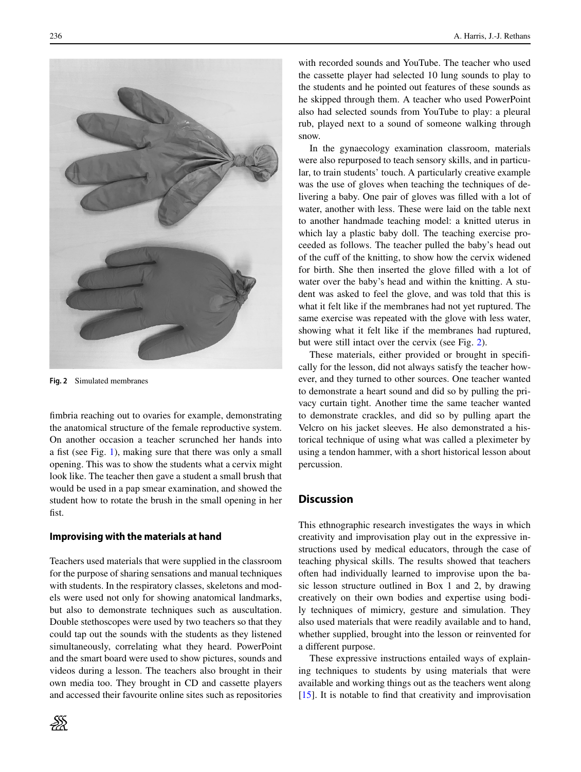

**Fig. 2** Simulated membranes

<span id="page-4-0"></span>fimbria reaching out to ovaries for example, demonstrating the anatomical structure of the female reproductive system. On another occasion a teacher scrunched her hands into a fist (see Fig. [1\)](#page-3-0), making sure that there was only a small opening. This was to show the students what a cervix might look like. The teacher then gave a student a small brush that would be used in a pap smear examination, and showed the student how to rotate the brush in the small opening in her fist.

#### **Improvising with the materials at hand**

Teachers used materials that were supplied in the classroom for the purpose of sharing sensations and manual techniques with students. In the respiratory classes, skeletons and models were used not only for showing anatomical landmarks, but also to demonstrate techniques such as auscultation. Double stethoscopes were used by two teachers so that they could tap out the sounds with the students as they listened simultaneously, correlating what they heard. PowerPoint and the smart board were used to show pictures, sounds and videos during a lesson. The teachers also brought in their own media too. They brought in CD and cassette players and accessed their favourite online sites such as repositories



236 A. Harris, J.-J. Rethans

with recorded sounds and YouTube. The teacher who used the cassette player had selected 10 lung sounds to play to the students and he pointed out features of these sounds as he skipped through them. A teacher who used PowerPoint also had selected sounds from YouTube to play: a pleural rub, played next to a sound of someone walking through snow.

In the gynaecology examination classroom, materials were also repurposed to teach sensory skills, and in particular, to train students' touch. A particularly creative example was the use of gloves when teaching the techniques of delivering a baby. One pair of gloves was filled with a lot of water, another with less. These were laid on the table next to another handmade teaching model: a knitted uterus in which lay a plastic baby doll. The teaching exercise proceeded as follows. The teacher pulled the baby's head out of the cuff of the knitting, to show how the cervix widened for birth. She then inserted the glove filled with a lot of water over the baby's head and within the knitting. A student was asked to feel the glove, and was told that this is what it felt like if the membranes had not yet ruptured. The same exercise was repeated with the glove with less water, showing what it felt like if the membranes had ruptured, but were still intact over the cervix (see Fig. [2\)](#page-4-0).

These materials, either provided or brought in specifically for the lesson, did not always satisfy the teacher however, and they turned to other sources. One teacher wanted to demonstrate a heart sound and did so by pulling the privacy curtain tight. Another time the same teacher wanted to demonstrate crackles, and did so by pulling apart the Velcro on his jacket sleeves. He also demonstrated a historical technique of using what was called a pleximeter by using a tendon hammer, with a short historical lesson about percussion.

## **Discussion**

This ethnographic research investigates the ways in which creativity and improvisation play out in the expressive instructions used by medical educators, through the case of teaching physical skills. The results showed that teachers often had individually learned to improvise upon the basic lesson structure outlined in Box 1 and 2, by drawing creatively on their own bodies and expertise using bodily techniques of mimicry, gesture and simulation. They also used materials that were readily available and to hand, whether supplied, brought into the lesson or reinvented for a different purpose.

These expressive instructions entailed ways of explaining techniques to students by using materials that were available and working things out as the teachers went along  $[15]$ . It is notable to find that creativity and improvisation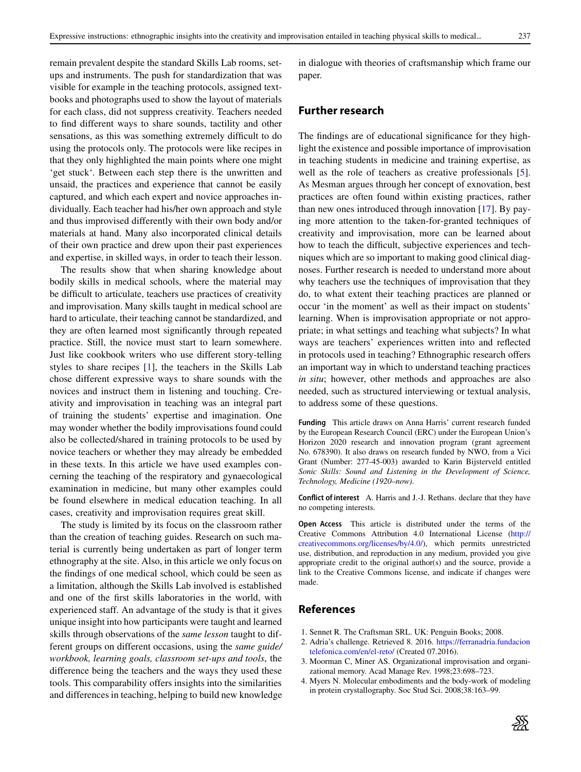remain prevalent despite the standard Skills Lab rooms, setups and instruments. The push for standardization that was visible for example in the teaching protocols, assigned textbooks and photographs used to show the layout of materials for each class, did not suppress creativity. Teachers needed to find different ways to share sounds, tactility and other sensations, as this was something extremely difficult to do using the protocols only. The protocols were like recipes in that they only highlighted the main points where one might 'get stuck'. Between each step there is the unwritten and unsaid, the practices and experience that cannot be easily captured, and which each expert and novice approaches individually. Each teacher had his/her own approach and style and thus improvised differently with their own body and/or materials at hand. Many also incorporated clinical details of their own practice and drew upon their past experiences and expertise, in skilled ways, in order to teach their lesson.

The results show that when sharing knowledge about bodily skills in medical schools, where the material may be difficult to articulate, teachers use practices of creativity and improvisation. Many skills taught in medical school are hard to articulate, their teaching cannot be standardized, and they are often learned most significantly through repeated practice. Still, the novice must start to learn somewhere. Just like cookbook writers who use different story-telling styles to share recipes [\[1\]](#page-5-0), the teachers in the Skills Lab chose different expressive ways to share sounds with the novices and instruct them in listening and touching. Creativity and improvisation in teaching was an integral part of training the students' expertise and imagination. One may wonder whether the bodily improvisations found could also be collected/shared in training protocols to be used by novice teachers or whether they may already be embedded in these texts. In this article we have used examples concerning the teaching of the respiratory and gynaecological examination in medicine, but many other examples could be found elsewhere in medical education teaching. In all cases, creativity and improvisation requires great skill.

The study is limited by its focus on the classroom rather than the creation of teaching guides. Research on such material is currently being undertaken as part of longer term ethnography at the site. Also, in this article we only focus on the findings of one medical school, which could be seen as a limitation, although the Skills Lab involved is established and one of the first skills laboratories in the world, with experienced staff. An advantage of the study is that it gives unique insight into how participants were taught and learned skills through observations of the *same lesson* taught to different groups on different occasions, using the *same guide/ workbook, learning goals, classroom set-ups and tools*, the difference being the teachers and the ways they used these tools. This comparability offers insights into the similarities and differences in teaching, helping to build new knowledge

in dialogue with theories of craftsmanship which frame our paper.

## **Further research**

The findings are of educational significance for they highlight the existence and possible importance of improvisation in teaching students in medicine and training expertise, as well as the role of teachers as creative professionals [\[5\]](#page-6-0). As Mesman argues through her concept of exnovation, best practices are often found within existing practices, rather than new ones introduced through innovation [\[17\]](#page-6-10). By paying more attention to the taken-for-granted techniques of creativity and improvisation, more can be learned about how to teach the difficult, subjective experiences and techniques which are so important to making good clinical diagnoses. Further research is needed to understand more about why teachers use the techniques of improvisation that they do, to what extent their teaching practices are planned or occur 'in the moment' as well as their impact on students' learning. When is improvisation appropriate or not appropriate; in what settings and teaching what subjects? In what ways are teachers' experiences written into and reflected in protocols used in teaching? Ethnographic research offers an important way in which to understand teaching practices *in situ*; however, other methods and approaches are also needed, such as structured interviewing or textual analysis, to address some of these questions.

**Funding** This article draws on Anna Harris' current research funded by the European Research Council (ERC) under the European Union's Horizon 2020 research and innovation program (grant agreement No. 678390). It also draws on research funded by NWO, from a Vici Grant (Number: 277-45-003) awarded to Karin Bijsterveld entitled *Sonic Skills: Sound and Listening in the Development of Science, Technology, Medicine (1920–now)*.

**Conflict of interest** A. Harris and J.-J. Rethans. declare that they have no competing interests.

**Open Access** This article is distributed under the terms of the Creative Commons Attribution 4.0 International License [\(http://](http://creativecommons.org/licenses/by/4.0/) [creativecommons.org/licenses/by/4.0/\)](http://creativecommons.org/licenses/by/4.0/), which permits unrestricted use, distribution, and reproduction in any medium, provided you give appropriate credit to the original author(s) and the source, provide a link to the Creative Commons license, and indicate if changes were made.

#### **References**

- <span id="page-5-1"></span><span id="page-5-0"></span>1. Sennet R. The Craftsman SRL. UK: Penguin Books; 2008.
- <span id="page-5-2"></span>2. Adria's challenge. Retrieved 8. 2016. [https://ferranadria.fundacion](https://ferranadria.fundaciontelefonica.com/en/el-reto/) [telefonica.com/en/el-reto/](https://ferranadria.fundaciontelefonica.com/en/el-reto/) (Created 07.2016).
- <span id="page-5-3"></span>3. Moorman C, Miner AS. Organizational improvisation and organizational memory. Acad Manage Rev. 1998;23:698–723.
- 4. Myers N. Molecular embodiments and the body-work of modeling in protein crystallography. Soc Stud Sci. 2008;38:163–99.